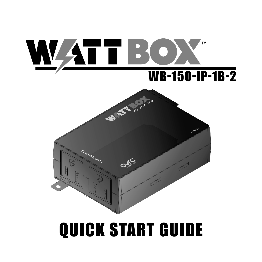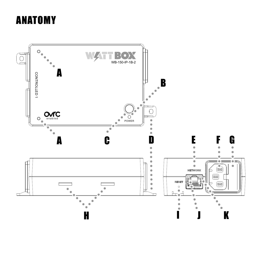# ANATOMY

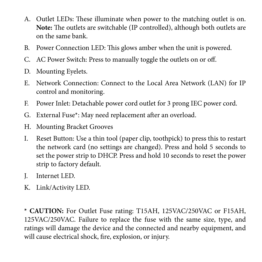- A. Outlet LEDs: These illuminate when power to the matching outlet is on. **Note:** The outlets are switchable (IP controlled), although both outlets are on the same bank.
- B. Power Connection LED: This glows amber when the unit is powered.
- C. AC Power Switch: Press to manually toggle the outlets on or off.
- D. Mounting Eyelets.
- E. Network Connection: Connect to the Local Area Network (LAN) for IP control and monitoring.
- F. Power Inlet: Detachable power cord outlet for 3 prong IEC power cord.
- G. External Fuse\*: May need replacement after an overload.
- H. Mounting Bracket Grooves
- I. Reset Button: Use a thin tool (paper clip, toothpick) to press this to restart the network card (no settings are changed). Press and hold 5 seconds to set the power strip to DHCP. Press and hold 10 seconds to reset the power strip to factory default.
- J. Internet LED.
- K. Link/Activity LED.

**\* CAUTION:** For Outlet Fuse rating: T15AH, 125VAC/250VAC or F15AH, 125VAC/250VAC. Failure to replace the fuse with the same size, type, and ratings will damage the device and the connected and nearby equipment, and will cause electrical shock, fire, explosion, or injury.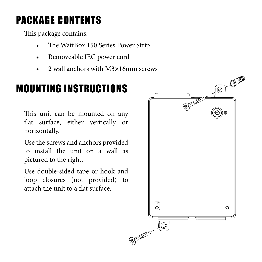# PACKAGE CONTENTS

This package contains:

- The WattBox 150 Series Power Strip
- Removeable IEC power cord
- 2 wall anchors with M3×16mm screws

# MOUNTING INSTRUCTIONS

This unit can be mounted on any flat surface, either vertically or horizontally.

Use the screws and anchors provided to install the unit on a wall as pictured to the right.

Use double-sided tape or hook and loop closures (not provided) to attach the unit to a flat surface.

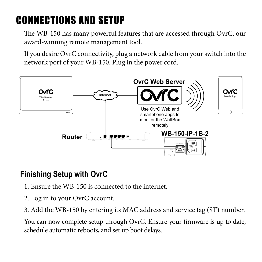# CONNECTIONS AND SETUP

The WB-150 has many powerful features that are accessed through OvrC, our award-winning remote management tool.

If you desire OvrC connectivity, plug a network cable from your switch into the network port of your WB-150. Plug in the power cord.



### **Finishing Setup with OvrC**

- 1. Ensure the WB-150 is connected to the internet.
- 2. Log in to your OvrC account.
- 3. Add the WB-150 by entering its MAC address and service tag (ST) number.

You can now complete setup through OvrC. Ensure your firmware is up to date, schedule automatic reboots, and set up boot delays.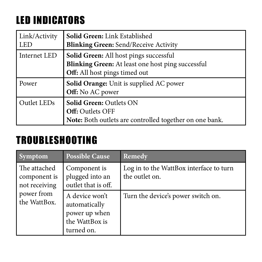# LED INDICATORS

| Link/Activity<br>l led | Solid Green: Link Established<br><b>Blinking Green: Send/Receive Activity</b>                                                |
|------------------------|------------------------------------------------------------------------------------------------------------------------------|
| Internet LED           | Solid Green: All host pings successful<br>Blinking Green: At least one host ping successful<br>Off: All host pings timed out |
| Power                  | Solid Orange: Unit is supplied AC power<br>Off: No AC power                                                                  |
| Outlet LEDs            | <b>Solid Green: Outlets ON</b><br><b>Off: Outlets OFF</b><br>Note: Both outlets are controlled together on one bank.         |

## TROUBLESHOOTING

| <b>Symptom</b>                                                              | <b>Possible Cause</b>                                                            | Remedy                                                    |
|-----------------------------------------------------------------------------|----------------------------------------------------------------------------------|-----------------------------------------------------------|
| The attached<br>component is<br>not receiving<br>power from<br>the WattBox. | Component is<br>plugged into an<br>outlet that is off.                           | Log in to the WattBox interface to turn<br>the outlet on. |
|                                                                             | A device won't<br>automatically<br>power up when<br>the WattBox is<br>turned on. | Turn the device's power switch on.                        |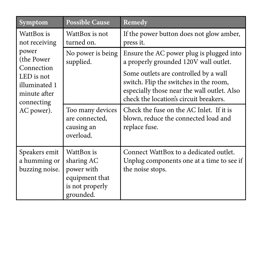| Symptom                                                                                                                                      | <b>Possible Cause</b>                                                                    | Remedy                                                                                                                                                                   |
|----------------------------------------------------------------------------------------------------------------------------------------------|------------------------------------------------------------------------------------------|--------------------------------------------------------------------------------------------------------------------------------------------------------------------------|
| WattBox is<br>not receiving<br>power<br>(the Power)<br>Connection<br>LED is not<br>illuminated 1<br>minute after<br>connecting<br>AC power). | WattBox is not<br>turned on.                                                             | If the power button does not glow amber,<br>press it.                                                                                                                    |
|                                                                                                                                              | No power is being<br>supplied.                                                           | Ensure the AC power plug is plugged into<br>a properly grounded 120V wall outlet.                                                                                        |
|                                                                                                                                              |                                                                                          | Some outlets are controlled by a wall<br>switch. Flip the switches in the room,<br>especially those near the wall outlet. Also<br>check the location's circuit breakers. |
|                                                                                                                                              | Too many devices<br>are connected,<br>causing an<br>overload.                            | Check the fuse on the AC Inlet. If it is<br>blown, reduce the connected load and<br>replace fuse.                                                                        |
| Speakers emit<br>a humming or<br>buzzing noise.                                                                                              | WattBox is<br>sharing AC<br>power with<br>equipment that<br>is not properly<br>grounded. | Connect WattBox to a dedicated outlet.<br>Unplug components one at a time to see if<br>the noise stops.                                                                  |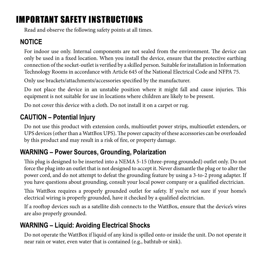## IMPORTANT SAFETY INSTRUCTIONS

Read and observe the following safety points at all times.

### **NOTICE**

For indoor use only. Internal components are not sealed from the environment. The device can only be used in a fixed location. When you install the device, ensure that the protective earthing connection of the socket-outlet is verified by a skilled person. Suitable for installation in Information Technology Rooms in accordance with Article 645 of the National Electrical Code and NFPA 75.

Only use brackets/attachments/accessories specified by the manufacturer.

Do not place the device in an unstable position where it might fall and cause injuries. This equipment is not suitable for use in locations where children are likely to be present.

Do not cover this device with a cloth. Do not install it on a carpet or rug.

### **CAUTION – Potential Injury**

Do not use this product with extension cords, multioutlet power strips, multioutlet extenders, or UPS devices (other than a WattBox UPS). The power capacity of these accessories can be overloaded by this product and may result in a risk of fire, or property damage.

### **WARNING – Power Sources, Grounding, Polarization**

This plug is designed to be inserted into a NEMA 5-15 (three-prong grounded) outlet only. Do not force the plug into an outlet that is not designed to accept it. Never dismantle the plug or to alter the power cord, and do not attempt to defeat the grounding feature by using a 3-to-2 prong adapter. If you have questions about grounding, consult your local power company or a qualified electrician.

This WattBox requires a properly grounded outlet for safety. If you're not sure if your home's electrical wiring is properly grounded, have it checked by a qualified electrician.

If a rooftop devices such as a satellite dish connects to the WattBox, ensure that the device's wires are also properly grounded.

### **WARNING – Liquid: Avoiding Electrical Shocks**

Do not operate the WattBox if liquid of any kind is spilled onto or inside the unit. Do not operate it near rain or water, even water that is contained (e.g., bathtub or sink).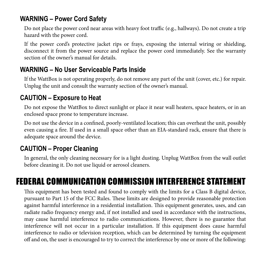#### **WARNING – Power Cord Safety**

Do not place the power cord near areas with heavy foot traffic (e.g., hallways). Do not create a trip hazard with the power cord.

If the power cord's protective jacket rips or frays, exposing the internal wiring or shielding, disconnect it from the power source and replace the power cord immediately. See the warranty section of the owner's manual for details.

#### **WARNING – No User Serviceable Parts Inside**

If the WattBox is not operating properly, do not remove any part of the unit (cover, etc.) for repair. Unplug the unit and consult the warranty section of the owner's manual.

#### **CAUTION – Exposure to Heat**

Do not expose the WattBox to direct sunlight or place it near wall heaters, space heaters, or in an enclosed space prone to temperature increase.

Do not use the device in a confined, poorly-ventilated location; this can overheat the unit, possibly even causing a fire. If used in a small space other than an EIA-standard rack, ensure that there is adequate space around the device.

#### **CAUTION – Proper Cleaning**

In general, the only cleaning necessary for is a light dusting. Unplug WattBox from the wall outlet before cleaning it. Do not use liquid or aerosol cleaners.

## FEDERAL COMMUNICATION COMMISSION INTERFERENCE STATEMENT

This equipment has been tested and found to comply with the limits for a Class B digital device, pursuant to Part 15 of the FCC Rules. These limits are designed to provide reasonable protection against harmful interference in a residential installation. This equipment generates, uses, and can radiate radio frequency energy and, if not installed and used in accordance with the instructions, may cause harmful interference to radio communications. However, there is no guarantee that interference will not occur in a particular installation. If this equipment does cause harmful interference to radio or television reception, which can be determined by turning the equipment off and on, the user is encouraged to try to correct the interference by one or more of the following: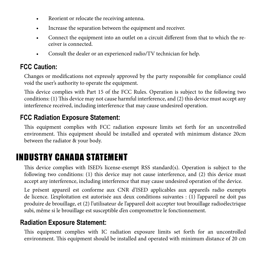- Reorient or relocate the receiving antenna.
- Increase the separation between the equipment and receiver.
- Connect the equipment into an outlet on a circuit different from that to which the receiver is connected.
- Consult the dealer or an experienced radio/TV technician for help.

#### **FCC Caution:**

Changes or modifications not expressly approved by the party responsible for compliance could void the user's authority to operate the equipment.

This device complies with Part 15 of the FCC Rules. Operation is subject to the following two conditions: (1) This device may not cause harmful interference, and (2) this device must accept any interference received, including interference that may cause undesired operation.

#### **FCC Radiation Exposure Statement:**

This equipment complies with FCC radiation exposure limits set forth for an uncontrolled environment. This equipment should be installed and operated with minimum distance 20cm between the radiator & your body.

### INDUSTRY CANADA STATEMENT

This device complies with ISED's license-exempt RSS standard(s). Operation is subject to the following two conditions: (1) this device may not cause interference, and (2) this device must accept any interference, including interference that may cause undesired operation of the device.

Le présent appareil est conforme aux CNR d'ISED applicables aux appareils radio exempts de licence. L'exploitation est autorisée aux deux conditions suivantes : (1) l'appareil ne doit pas produire de brouillage, et (2) l'utilisateur de l'appareil doit accepter tout brouillage radioélectrique subi, même si le brouillage est susceptible d'en compromettre le fonctionnement.

#### **Radiation Exposure Statement:**

This equipment complies with IC radiation exposure limits set forth for an uncontrolled environment. This equipment should be installed and operated with minimum distance of 20 cm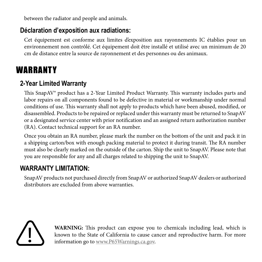between the radiator and people and animals.

#### **Déclaration d'exposition aux radiations:**

Cet équipement est conforme aux limites d'exposition aux rayonnements IC établies pour un environnement non contrôlé. Cet équipement doit être installé et utilisé avec un minimum de 20 cm de distance entre la source de rayonnement et des personnes ou des animaux.

## WARRANTY

#### **2-Year Limited Warranty**

This SnapAV® product has a 2-Year Limited Product Warranty. This warranty includes parts and labor repairs on all components found to be defective in material or workmanship under normal conditions of use. This warranty shall not apply to products which have been abused, modified, or disassembled. Products to be repaired or replaced under this warranty must be returned to SnapAV or a designated service center with prior notification and an assigned return authorization number (RA). Contact technical support for an RA number.

Once you obtain an RA number, please mark the number on the bottom of the unit and pack it in a shipping carton/box with enough packing material to protect it during transit. The RA number must also be clearly marked on the outside of the carton. Ship the unit to SnapAV. Please note that you are responsible for any and all charges related to shipping the unit to SnapAV.

#### **WARRANTY LIMITATION:**

SnapAV products not purchased directly from SnapAV or authorized SnapAV dealers or authorized distributors are excluded from above warranties.



**WARNING:** This product can expose you to chemicals including lead, which is known to the State of California to cause cancer and reproductive harm. For more information go to www.P65Warnings.ca.gov.